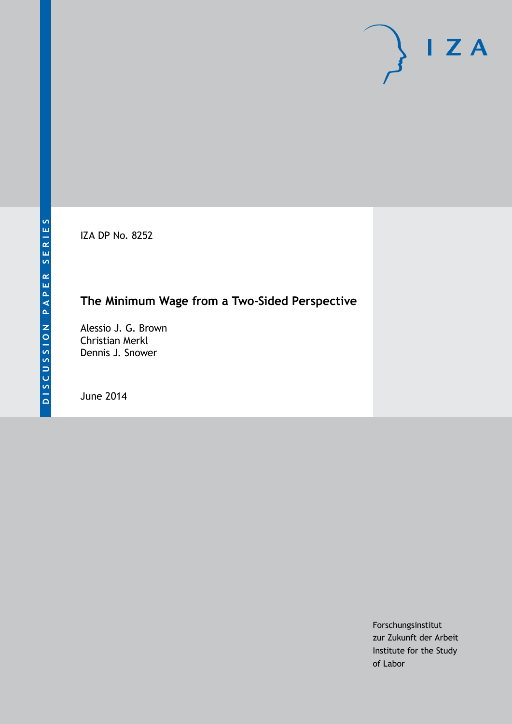IZA DP No. 8252

# **The Minimum Wage from a Two-Sided Perspective**

Alessio J. G. Brown Christian Merkl Dennis J. Snower

June 2014

Forschungsinstitut zur Zukunft der Arbeit Institute for the Study of Labor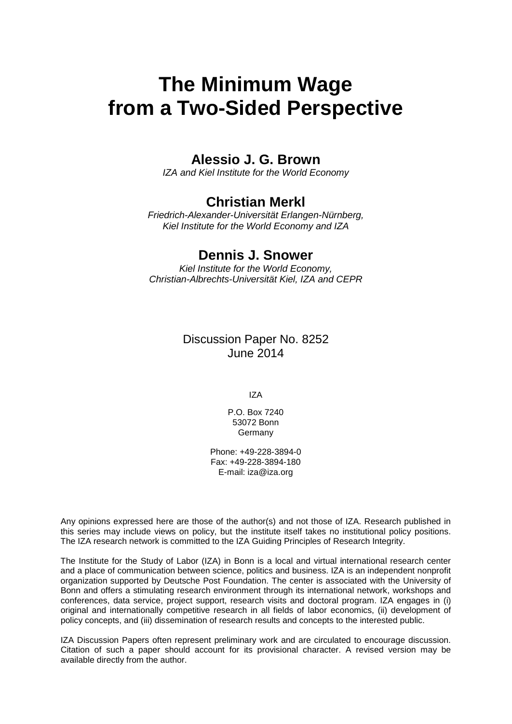# **The Minimum Wage from a Two-Sided Perspective**

### **Alessio J. G. Brown**

*IZA and Kiel Institute for the World Economy*

### **Christian Merkl**

*Friedrich-Alexander-Universität Erlangen-Nürnberg, Kiel Institute for the World Economy and IZA*

### **Dennis J. Snower**

*Kiel Institute for the World Economy, Christian-Albrechts-Universität Kiel, IZA and CEPR*

#### Discussion Paper No. 8252 June 2014

IZA

P.O. Box 7240 53072 Bonn Germany

Phone: +49-228-3894-0 Fax: +49-228-3894-180 E-mail: [iza@iza.org](mailto:iza@iza.org)

Any opinions expressed here are those of the author(s) and not those of IZA. Research published in this series may include views on policy, but the institute itself takes no institutional policy positions. The IZA research network is committed to the IZA Guiding Principles of Research Integrity.

The Institute for the Study of Labor (IZA) in Bonn is a local and virtual international research center and a place of communication between science, politics and business. IZA is an independent nonprofit organization supported by Deutsche Post Foundation. The center is associated with the University of Bonn and offers a stimulating research environment through its international network, workshops and conferences, data service, project support, research visits and doctoral program. IZA engages in (i) original and internationally competitive research in all fields of labor economics, (ii) development of policy concepts, and (iii) dissemination of research results and concepts to the interested public.

IZA Discussion Papers often represent preliminary work and are circulated to encourage discussion. Citation of such a paper should account for its provisional character. A revised version may be available directly from the author.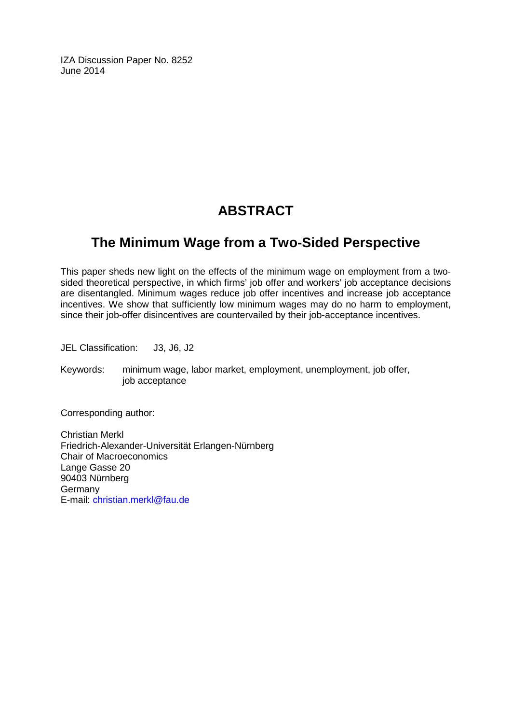IZA Discussion Paper No. 8252 June 2014

# **ABSTRACT**

## **The Minimum Wage from a Two-Sided Perspective**

This paper sheds new light on the effects of the minimum wage on employment from a twosided theoretical perspective, in which firms' job offer and workers' job acceptance decisions are disentangled. Minimum wages reduce job offer incentives and increase job acceptance incentives. We show that sufficiently low minimum wages may do no harm to employment, since their job-offer disincentives are countervailed by their job-acceptance incentives.

JEL Classification: J3, J6, J2

Keywords: minimum wage, labor market, employment, unemployment, job offer, job acceptance

Corresponding author:

Christian Merkl Friedrich-Alexander-Universität Erlangen-Nürnberg Chair of Macroeconomics Lange Gasse 20 90403 Nürnberg Germany E-mail: [christian.merkl@fau.de](mailto:christian.merkl@fau.de)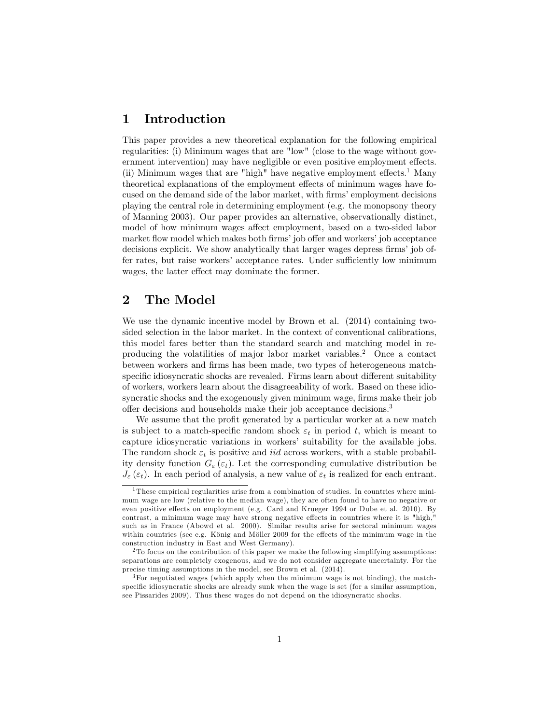#### 1 Introduction

This paper provides a new theoretical explanation for the following empirical regularities: (i) Minimum wages that are "low" (close to the wage without government intervention) may have negligible or even positive employment effects. (ii) Minimum wages that are "high" have negative employment effects.<sup>1</sup> Many theoretical explanations of the employment effects of minimum wages have focused on the demand side of the labor market, with firms' employment decisions playing the central role in determining employment (e.g. the monopsony theory of Manning 2003). Our paper provides an alternative, observationally distinct, model of how minimum wages affect employment, based on a two-sided labor market flow model which makes both firms' job offer and workers' job acceptance decisions explicit. We show analytically that larger wages depress firms' job offer rates, but raise workers' acceptance rates. Under sufficiently low minimum wages, the latter effect may dominate the former.

#### 2 The Model

We use the dynamic incentive model by Brown et al. (2014) containing twosided selection in the labor market. In the context of conventional calibrations, this model fares better than the standard search and matching model in reproducing the volatilities of major labor market variables.<sup>2</sup> Once a contact between workers and Örms has been made, two types of heterogeneous matchspecific idiosyncratic shocks are revealed. Firms learn about different suitability of workers, workers learn about the disagreeability of work. Based on these idiosyncratic shocks and the exogenously given minimum wage, firms make their job offer decisions and households make their job acceptance decisions.<sup>3</sup>

We assume that the profit generated by a particular worker at a new match is subject to a match-specific random shock  $\varepsilon_t$  in period t, which is meant to capture idiosyncratic variations in workers' suitability for the available jobs. The random shock  $\varepsilon_t$  is positive and *iid* across workers, with a stable probability density function  $G_{\varepsilon}(\varepsilon_t)$ . Let the corresponding cumulative distribution be  $J_{\varepsilon}(\varepsilon_t)$ . In each period of analysis, a new value of  $\varepsilon_t$  is realized for each entrant.

<sup>&</sup>lt;sup>1</sup> These empirical regularities arise from a combination of studies. In countries where minimum wage are low (relative to the median wage), they are often found to have no negative or even positive effects on employment (e.g. Card and Krueger 1994 or Dube et al. 2010). By contrast, a minimum wage may have strong negative effects in countries where it is "high," such as in France (Abowd et al. 2000). Similar results arise for sectoral minimum wages within countries (see e.g. König and Möller 2009 for the effects of the minimum wage in the construction industry in East and West Germany).

 $2$  To focus on the contribution of this paper we make the following simplifying assumptions: separations are completely exogenous, and we do not consider aggregate uncertainty. For the precise timing assumptions in the model, see Brown et al. (2014).

<sup>3</sup>For negotiated wages (which apply when the minimum wage is not binding), the matchspecific idiosyncratic shocks are already sunk when the wage is set (for a similar assumption, see Pissarides 2009). Thus these wages do not depend on the idiosyncratic shocks.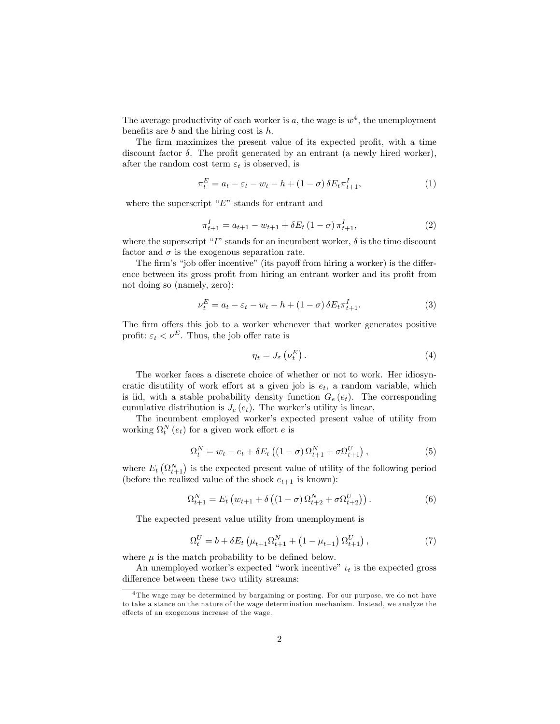The average productivity of each worker is  $a$ , the wage is  $w^4$ , the unemployment benefits are  $b$  and the hiring cost is  $h$ .

The firm maximizes the present value of its expected profit, with a time discount factor  $\delta$ . The profit generated by an entrant (a newly hired worker), after the random cost term  $\varepsilon_t$  is observed, is

$$
\pi_t^E = a_t - \varepsilon_t - w_t - h + (1 - \sigma) \delta E_t \pi_{t+1}^I,
$$
\n<sup>(1)</sup>

where the superscript  $E^*$  stands for entrant and

$$
\pi_{t+1}^{I} = a_{t+1} - w_{t+1} + \delta E_t (1 - \sigma) \pi_{t+1}^{I}, \qquad (2)
$$

where the superscript "I" stands for an incumbent worker,  $\delta$  is the time discount factor and  $\sigma$  is the exogenous separation rate.

The firm's "job offer incentive" (its payoff from hiring a worker) is the difference between its gross profit from hiring an entrant worker and its profit from not doing so (namely, zero):

$$
\nu_t^E = a_t - \varepsilon_t - w_t - h + (1 - \sigma) \delta E_t \pi_{t+1}^I. \tag{3}
$$

The firm offers this job to a worker whenever that worker generates positive profit:  $\varepsilon_t < \nu^E$ . Thus, the job offer rate is

$$
\eta_t = J_\varepsilon \left( \nu_t^E \right). \tag{4}
$$

The worker faces a discrete choice of whether or not to work. Her idiosyncratic disutility of work effort at a given job is  $e_t$ , a random variable, which is iid, with a stable probability density function  $G_e(e_t)$ . The corresponding cumulative distribution is  $J_e(e_t)$ . The worker's utility is linear.

The incumbent employed worker's expected present value of utility from working  $\Omega_t^N(e_t)$  for a given work effort e is

$$
\Omega_t^N = w_t - e_t + \delta E_t \left( (1 - \sigma) \Omega_{t+1}^N + \sigma \Omega_{t+1}^U \right), \tag{5}
$$

where  $E_t\left(\Omega_{t+1}^N\right)$  is the expected present value of utility of the following period (before the realized value of the shock  $e_{t+1}$  is known):

$$
\Omega_{t+1}^N = E_t \left( w_{t+1} + \delta \left( (1 - \sigma) \Omega_{t+2}^N + \sigma \Omega_{t+2}^U \right) \right). \tag{6}
$$

The expected present value utility from unemployment is

$$
\Omega_t^U = b + \delta E_t \left( \mu_{t+1} \Omega_{t+1}^N + (1 - \mu_{t+1}) \Omega_{t+1}^U \right), \tag{7}
$$

where  $\mu$  is the match probability to be defined below.

An unemployed worker's expected "work incentive"  $\iota_t$  is the expected gross difference between these two utility streams:

<sup>&</sup>lt;sup>4</sup>The wage may be determined by bargaining or posting. For our purpose, we do not have to take a stance on the nature of the wage determination mechanism. Instead, we analyze the effects of an exogenous increase of the wage.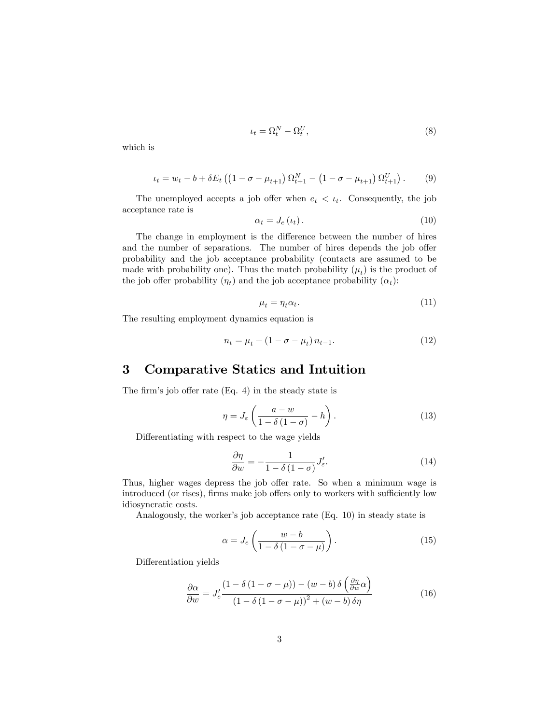$$
\iota_t = \Omega_t^N - \Omega_t^U,\tag{8}
$$

which is

$$
\iota_t = w_t - b + \delta E_t \left( \left( 1 - \sigma - \mu_{t+1} \right) \Omega_{t+1}^N - \left( 1 - \sigma - \mu_{t+1} \right) \Omega_{t+1}^U \right). \tag{9}
$$

The unemployed accepts a job offer when  $e_t < t_t$ . Consequently, the job acceptance rate is

$$
\alpha_t = J_e(\iota_t). \tag{10}
$$

The change in employment is the difference between the number of hires and the number of separations. The number of hires depends the job offer probability and the job acceptance probability (contacts are assumed to be made with probability one). Thus the match probability  $(\mu_t)$  is the product of the job offer probability  $(\eta_t)$  and the job acceptance probability  $(\alpha_t)$ :

$$
\mu_t = \eta_t \alpha_t. \tag{11}
$$

The resulting employment dynamics equation is

$$
n_t = \mu_t + (1 - \sigma - \mu_t) n_{t-1}.
$$
\n(12)

#### 3 Comparative Statics and Intuition

The firm's job offer rate  $(Eq. 4)$  in the steady state is

$$
\eta = J_{\varepsilon} \left( \frac{a - w}{1 - \delta (1 - \sigma)} - h \right). \tag{13}
$$

Differentiating with respect to the wage yields

$$
\frac{\partial \eta}{\partial w} = -\frac{1}{1 - \delta(1 - \sigma)} J'_{\varepsilon}.
$$
\n(14)

Thus, higher wages depress the job offer rate. So when a minimum wage is introduced (or rises), firms make job offers only to workers with sufficiently low idiosyncratic costs.

Analogously, the worker's job acceptance rate  $(Eq. 10)$  in steady state is

$$
\alpha = J_e \left( \frac{w - b}{1 - \delta \left( 1 - \sigma - \mu \right)} \right). \tag{15}
$$

Differentiation yields

$$
\frac{\partial \alpha}{\partial w} = J'_e \frac{\left(1 - \delta\left(1 - \sigma - \mu\right)\right) - \left(w - b\right)\delta\left(\frac{\partial \eta}{\partial w}\alpha\right)}{\left(1 - \delta\left(1 - \sigma - \mu\right)\right)^2 + \left(w - b\right)\delta\eta} \tag{16}
$$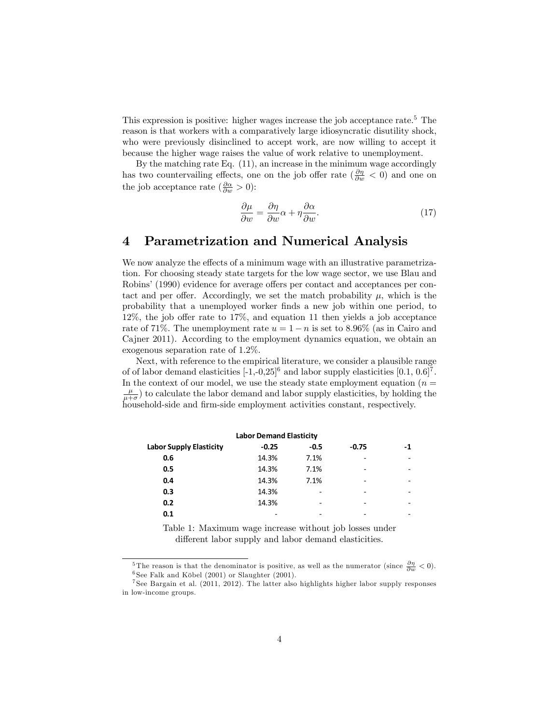This expression is positive: higher wages increase the job acceptance rate.<sup>5</sup> The reason is that workers with a comparatively large idiosyncratic disutility shock, who were previously disinclined to accept work, are now willing to accept it because the higher wage raises the value of work relative to unemployment.

By the matching rate Eq. (11), an increase in the minimum wage accordingly has two countervailing effects, one on the job offer rate  $(\frac{\partial \eta}{\partial w} < 0)$  and one on the job acceptance rate  $(\frac{\partial \alpha}{\partial w} > 0)$ :

$$
\frac{\partial \mu}{\partial w} = \frac{\partial \eta}{\partial w} \alpha + \eta \frac{\partial \alpha}{\partial w}.\tag{17}
$$

#### 4 Parametrization and Numerical Analysis

We now analyze the effects of a minimum wage with an illustrative parametrization. For choosing steady state targets for the low wage sector, we use Blau and Robins' (1990) evidence for average offers per contact and acceptances per contact and per offer. Accordingly, we set the match probability  $\mu$ , which is the probability that a unemployed worker Önds a new job within one period, to  $12\%$ , the job offer rate to  $17\%$ , and equation 11 then yields a job acceptance rate of 71%. The unemployment rate  $u = 1 - n$  is set to 8.96% (as in Cairo and Cajner 2011). According to the employment dynamics equation, we obtain an exogenous separation rate of 1:2%.

Next, with reference to the empirical literature, we consider a plausible range of of labor demand elasticities  $[-1, 0.25]^6$  and labor supply elasticities  $[0.1, 0.6]^7$ . In the context of our model, we use the steady state employment equation  $(n =$  $\frac{\mu}{\mu+\sigma}$ ) to calculate the labor demand and labor supply elasticities, by holding the household-side and firm-side employment activities constant, respectively.

| <b>Labor Demand Elasticity</b> |         |        |         |      |
|--------------------------------|---------|--------|---------|------|
| Labor Supply Elasticity        | $-0.25$ | $-0.5$ | $-0.75$ | $-1$ |
| 0.6                            | 14.3%   | 7.1%   |         |      |
| 0.5                            | 14.3%   | 7.1%   |         | ۰    |
| 0.4                            | 14.3%   | 7.1%   |         | ۰    |
| 0.3                            | 14.3%   | ٠      |         | ۰    |
| 0.2                            | 14.3%   | -      |         | ۰    |
| 0.1                            |         | ۰      | -       | ۰    |
|                                |         |        |         |      |

Table 1: Maximum wage increase without job losses under different labor supply and labor demand elasticities.

<sup>&</sup>lt;sup>5</sup>The reason is that the denominator is positive, as well as the numerator (since  $\frac{\partial \eta}{\partial w} < 0$ ).  $6$ See Falk and Köbel (2001) or Slaughter (2001).

 $7$ See Bargain et al. (2011, 2012). The latter also highlights higher labor supply responses in low-income groups.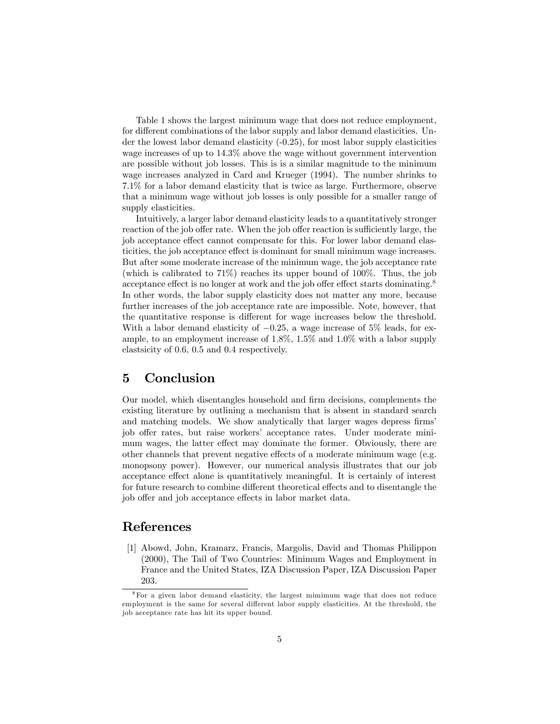Table 1 shows the largest minimum wage that does not reduce employment, for different combinations of the labor supply and labor demand elasticities. Under the lowest labor demand elasticity  $(-0.25)$ , for most labor supply elasticities wage increases of up to 14.3% above the wage without government intervention are possible without job losses. This is is a similar magnitude to the minimum wage increases analyzed in Card and Krueger (1994). The number shrinks to 7.1% for a labor demand elasticity that is twice as large. Furthermore, observe that a minimum wage without job losses is only possible for a smaller range of supply elasticities.

Intuitively, a larger labor demand elasticity leads to a quantitatively stronger reaction of the job offer rate. When the job offer reaction is sufficiently large, the job acceptance effect cannot compensate for this. For lower labor demand elasticities, the job acceptance effect is dominant for small minimum wage increases. But after some moderate increase of the minimum wage, the job acceptance rate (which is calibrated to  $71\%$ ) reaches its upper bound of  $100\%$ . Thus, the job acceptance effect is no longer at work and the job offer effect starts dominating.<sup>8</sup> In other words, the labor supply elasticity does not matter any more, because further increases of the job acceptance rate are impossible. Note, however, that the quantitative response is different for wage increases below the threshold. With a labor demand elasticity of  $-0.25$ , a wage increase of 5% leads, for example, to an employment increase of 1:8%, 1:5% and 1:0% with a labor supply elastsicity of 0:6, 0:5 and 0:4 respectively.

#### 5 Conclusion

Our model, which disentangles household and Örm decisions, complements the existing literature by outlining a mechanism that is absent in standard search and matching models. We show analytically that larger wages depress firms' job offer rates, but raise workers' acceptance rates. Under moderate minimum wages, the latter effect may dominate the former. Obviously, there are other channels that prevent negative effects of a moderate minimum wage (e.g. monopsony power). However, our numerical analysis illustrates that our job acceptance effect alone is quantitatively meaningful. It is certainly of interest for future research to combine different theoretical effects and to disentangle the job offer and job acceptance effects in labor market data.

#### References

[1] Abowd, John, Kramarz, Francis, Margolis, David and Thomas Philippon (2000), The Tail of Two Countries: Minimum Wages and Employment in France and the United States, IZA Discussion Paper, IZA Discussion Paper 203.

<sup>8</sup>For a given labor demand elasticity, the largest mimimum wage that does not reduce employment is the same for several different labor supply elasticities. At the threshold, the job acceptance rate has hit its upper bound.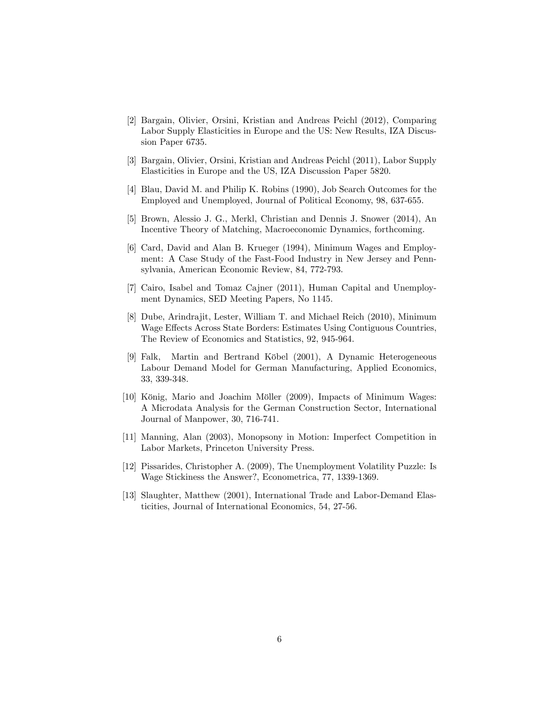- [2] Bargain, Olivier, Orsini, Kristian and Andreas Peichl (2012), Comparing Labor Supply Elasticities in Europe and the US: New Results, IZA Discussion Paper 6735.
- [3] Bargain, Olivier, Orsini, Kristian and Andreas Peichl (2011), Labor Supply Elasticities in Europe and the US, IZA Discussion Paper 5820.
- [4] Blau, David M. and Philip K. Robins (1990), Job Search Outcomes for the Employed and Unemployed, Journal of Political Economy, 98, 637-655.
- [5] Brown, Alessio J. G., Merkl, Christian and Dennis J. Snower (2014), An Incentive Theory of Matching, Macroeconomic Dynamics, forthcoming.
- [6] Card, David and Alan B. Krueger (1994), Minimum Wages and Employment: A Case Study of the Fast-Food Industry in New Jersey and Pennsylvania, American Economic Review, 84, 772-793.
- [7] Cairo, Isabel and Tomaz Cajner (2011), Human Capital and Unemployment Dynamics, SED Meeting Papers, No 1145.
- [8] Dube, Arindrajit, Lester, William T. and Michael Reich (2010), Minimum Wage Effects Across State Borders: Estimates Using Contiguous Countries, The Review of Economics and Statistics, 92, 945-964.
- [9] Falk, Martin and Bertrand Köbel (2001), A Dynamic Heterogeneous Labour Demand Model for German Manufacturing, Applied Economics, 33, 339-348.
- [10] König, Mario and Joachim Möller (2009), Impacts of Minimum Wages: A Microdata Analysis for the German Construction Sector, International Journal of Manpower, 30, 716-741.
- [11] Manning, Alan (2003), Monopsony in Motion: Imperfect Competition in Labor Markets, Princeton University Press.
- [12] Pissarides, Christopher A. (2009), The Unemployment Volatility Puzzle: Is Wage Stickiness the Answer?, Econometrica, 77, 1339-1369.
- [13] Slaughter, Matthew (2001), International Trade and Labor-Demand Elasticities, Journal of International Economics, 54, 27-56.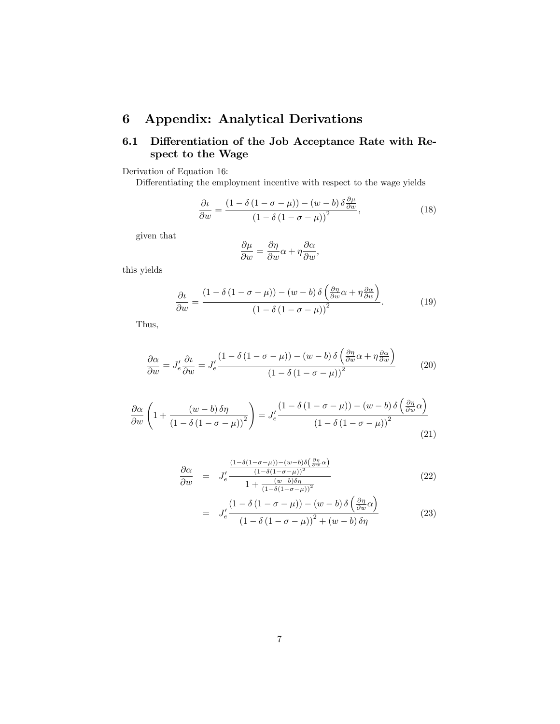### 6 Appendix: Analytical Derivations

#### 6.1 Differentiation of the Job Acceptance Rate with Respect to the Wage

Derivation of Equation 16:

Differentiating the employment incentive with respect to the wage yields

$$
\frac{\partial \iota}{\partial w} = \frac{\left(1 - \delta\left(1 - \sigma - \mu\right)\right) - \left(w - b\right)\delta \frac{\partial \mu}{\partial w}}{\left(1 - \delta\left(1 - \sigma - \mu\right)\right)^2},\tag{18}
$$

given that

$$
\frac{\partial \mu}{\partial w} = \frac{\partial \eta}{\partial w} \alpha + \eta \frac{\partial \alpha}{\partial w},
$$

this yields

$$
\frac{\partial \iota}{\partial w} = \frac{\left(1 - \delta\left(1 - \sigma - \mu\right)\right) - \left(w - b\right)\delta\left(\frac{\partial \eta}{\partial w}\alpha + \eta \frac{\partial \alpha}{\partial w}\right)}{\left(1 - \delta\left(1 - \sigma - \mu\right)\right)^2}.\tag{19}
$$

Thus,

$$
\frac{\partial \alpha}{\partial w} = J'_e \frac{\partial \iota}{\partial w} = J'_e \frac{(1 - \delta (1 - \sigma - \mu)) - (w - b) \delta \left(\frac{\partial \eta}{\partial w} \alpha + \eta \frac{\partial \alpha}{\partial w}\right)}{(1 - \delta (1 - \sigma - \mu))^2}
$$
(20)

$$
\frac{\partial \alpha}{\partial w} \left( 1 + \frac{(w - b)\,\delta \eta}{\left( 1 - \delta \left( 1 - \sigma - \mu \right) \right)^2} \right) = J'_e \frac{\left( 1 - \delta \left( 1 - \sigma - \mu \right) \right) - \left( w - b \right)\delta \left( \frac{\partial \eta}{\partial w} \alpha \right)}{\left( 1 - \delta \left( 1 - \sigma - \mu \right) \right)^2} \tag{21}
$$

$$
\frac{\partial \alpha}{\partial w} = J'_e \frac{\frac{(1-\delta(1-\sigma-\mu))-(w-b)\delta(\frac{\partial \eta}{\partial w}\alpha)}{(1-\delta(1-\sigma-\mu))^2}}{1+\frac{(w-b)\delta\eta}{(1-\delta(1-\sigma-\mu))^2}}
$$
(22)

$$
= J'_e \frac{\left(1 - \delta\left(1 - \sigma - \mu\right)\right) - \left(w - b\right)\delta\left(\frac{\partial \eta}{\partial w}\alpha\right)}{\left(1 - \delta\left(1 - \sigma - \mu\right)\right)^2 + \left(w - b\right)\delta\eta} \tag{23}
$$